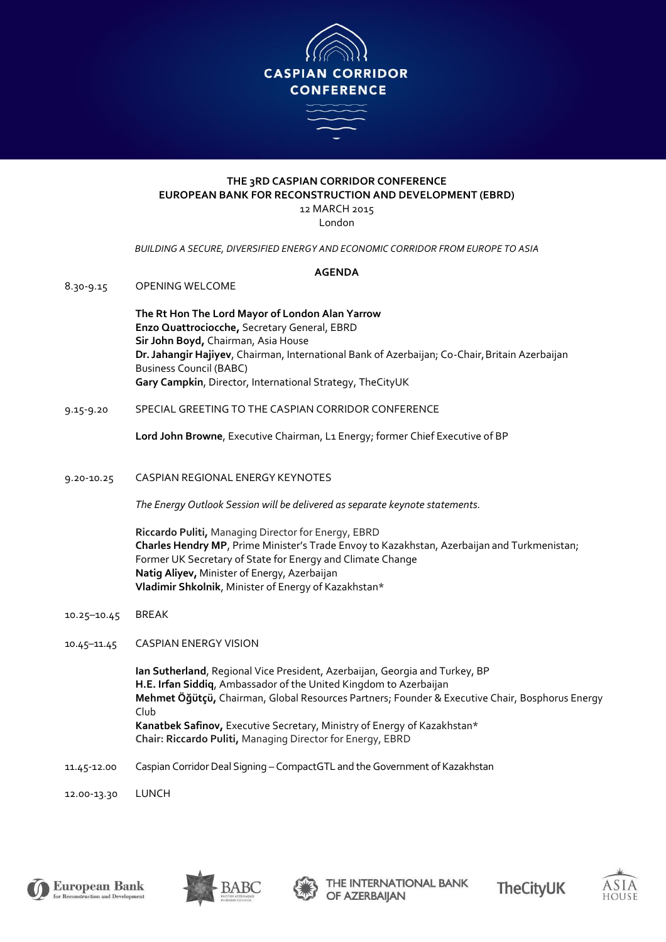

## **THE 3RD CASPIAN CORRIDOR CONFERENCE EUROPEAN BANK FOR RECONSTRUCTION AND DEVELOPMENT (EBRD)** 12 MARCH 2015

London

*BUILDING A SECURE, DIVERSIFIED ENERGY AND ECONOMIC CORRIDOR FROM EUROPE TO ASIA*

## **AGENDA**

8.30-9.15 OPENING WELCOME

**The Rt Hon The Lord Mayor of London Alan Yarrow Enzo Quattrociocche,** Secretary General, EBRD **Sir John Boyd,** Chairman, Asia House **Dr. Jahangir Hajiyev**, Chairman, International Bank of Azerbaijan; Co-Chair,Britain Azerbaijan Business Council (BABC) **Gary Campkin**, Director, International Strategy, TheCityUK

9.15-9.20 SPECIAL GREETING TO THE CASPIAN CORRIDOR CONFERENCE

**Lord John Browne**, Executive Chairman, L1 Energy; former Chief Executive of BP

9.20-10.25 CASPIAN REGIONAL ENERGY KEYNOTES

*The Energy Outlook Session will be delivered as separate keynote statements.*

**Riccardo Puliti,** Managing Director for Energy, EBRD **Charles Hendry MP**, Prime Minister's Trade Envoy to Kazakhstan, Azerbaijan and Turkmenistan; Former UK Secretary of State for Energy and Climate Change **Natig Aliyev,** Minister of Energy, Azerbaijan **Vladimir Shkolnik**, Minister of Energy of Kazakhstan\*

- 10.25–10.45 BREAK
- 10.45–11.45 CASPIAN ENERGY VISION

**Ian Sutherland**, Regional Vice President, Azerbaijan, Georgia and Turkey, BP **H.E. Irfan Siddiq**, Ambassador of the United Kingdom to Azerbaijan **Mehmet Öğütçü,** Chairman, Global Resources Partners; Founder & Executive Chair, Bosphorus Energy Club **Kanatbek Safinov,** Executive Secretary, Ministry of Energy of Kazakhstan\* **Chair: Riccardo Puliti,** Managing Director for Energy, EBRD

11.45-12.00 Caspian Corridor Deal Signing – CompactGTL and the Government of Kazakhstan

12.00-13.30 LUNCH